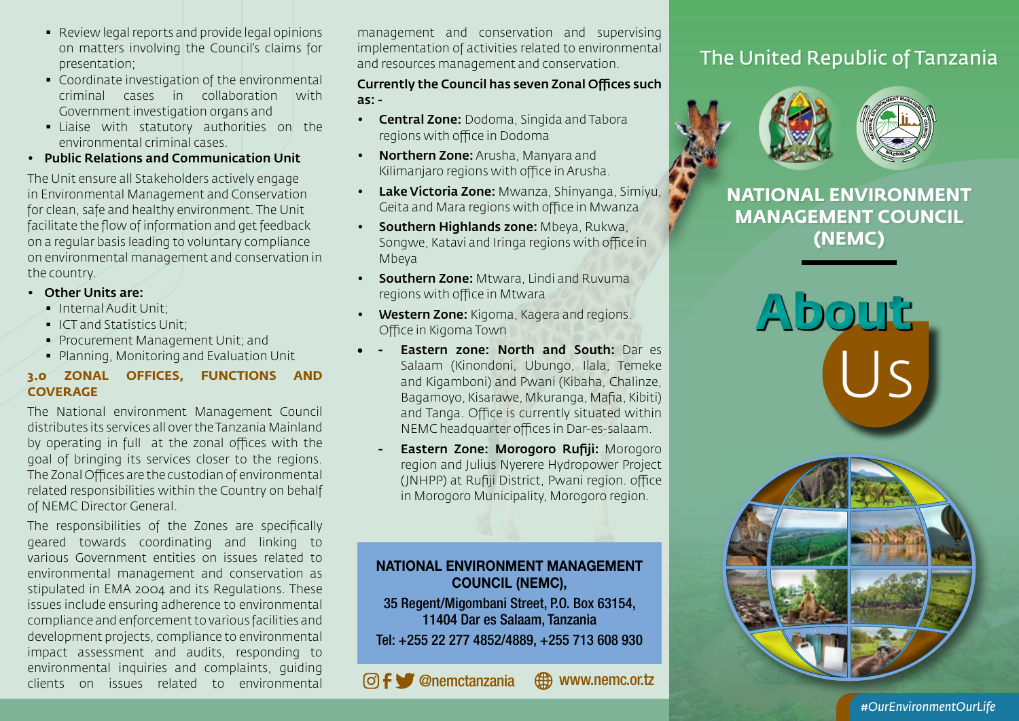- Review legal reports and provide legal opinions on matters involving the Council's claims for presentation;
- Coordinate investigation of the environmental criminal cases in collaboration with Government investigation organs and
- Liaise with statutory authorities on the environmental criminal cases.
- Public Relations and Communication Unit

The Unit ensure all Stakeholders actively engage in Environmental Management and Conservation for clean, safe and healthy environment. The Unit facilitate the flow of information and get feedback on a regular basis leading to voluntary compliance on environmental management and conservation in the country.

- Other Units are:
	- Internal Audit Unit;
	- ICT and Statistics Unit;
	- **Procurement Management Unit; and**
	- Planning, Monitoring and Evaluation Unit

# **3.0 ZONAL OFFICES, FUNCTIONS AND COVERAGE**

The National environment Management Council distributes its services all over the Tanzania Mainland by operating in full at the zonal offices with the goal of bringing its services closer to the regions. The Zonal Offices are the custodian of environmental related responsibilities within the Country on behalf of NEMC Director General.

The responsibilities of the Zones are specifically geared towards coordinating and linking to various Government entities on issues related to environmental management and conservation as stipulated in EMA 2004 and its Regulations. These issues include ensuring adherence to environmental compliance and enforcement to various facilities and development projects, compliance to environmental impact assessment and audits, responding to environmental inquiries and complaints, guiding clients on issues related to environmental

management and conservation and supervising implementation of activities related to environmental and resources management and conservation.

Currently the Council has seven Zonal Offices such as: -

- **Central Zone: Dodoma, Singida and Tabora** regions with office in Dodoma
- Northern Zone: Arusha, Manyara and Kilimanjaro regions with office in Arusha.
- Lake Victoria Zone: Mwanza, Shinyanga, Simiyu, Geita and Mara regions with office in Mwanza
- Southern Highlands zone: Mbeya, Rukwa, Songwe, Katavi and Iringa regions with office in Mbeya
- Southern Zone: Mtwara, Lindi and Ruvuma regions with office in Mtwara
- Western Zone: Kigoma, Kagera and regions. Office in Kigoma Town
- **Eastern zone: North and South: Dar ese** Salaam (Kinondoni, Ubungo, Ilala, Temeke and Kigamboni) and Pwani (Kibaha, Chalinze, Bagamoyo, Kisarawe, Mkuranga, Mafia, Kibiti) and Tanga. Office is currently situated within NEMC headquarter offices in Dar-es-salaam.
	- **Eastern Zone: Morogoro Rufiji: Morogoro** region and Julius Nyerere Hydropower Project (JNHPP) at Rufiji District, Pwani region. office in Morogoro Municipality, Morogoro region.

# NATIONAL ENVIRONMENT MANAGEMENT COUNCIL (NEMC),

35 Regent/Migombani Street, P.O. Box 63154, 11404 Dar es Salaam, Tanzania Tel: +255 22 277 4852/4889, +255 713 608 930

@nemctanzania www.nemc.or.tz

# The United Republic of Tanzania





**NATIONAL ENVIRONMENT MANAGEMENT COUNCIL (NEMC)**

> **About** Us